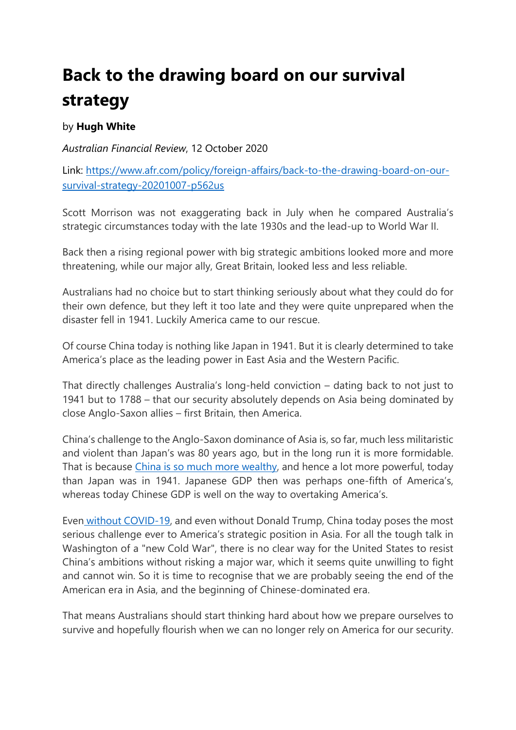## **Back to the drawing board on our survival strategy**

## by **Hugh White**

*Australian Financial Review*, 12 October 2020

Link: [https://www.afr.com/policy/foreign-affairs/back-to-the-drawing-board-on-our](https://www.afr.com/policy/foreign-affairs/back-to-the-drawing-board-on-our-survival-strategy-20201007-p562us)[survival-strategy-20201007-p562us](https://www.afr.com/policy/foreign-affairs/back-to-the-drawing-board-on-our-survival-strategy-20201007-p562us)

Scott Morrison was not exaggerating back in July when he compared Australia's strategic circumstances today with the late 1930s and the lead-up to World War II.

Back then a rising regional power with big strategic ambitions looked more and more threatening, while our major ally, Great Britain, looked less and less reliable.

Australians had no choice but to start thinking seriously about what they could do for their own defence, but they left it too late and they were quite unprepared when the disaster fell in 1941. Luckily America came to our rescue.

Of course China today is nothing like Japan in 1941. But it is clearly determined to take America's place as the leading power in East Asia and the Western Pacific.

That directly challenges Australia's long-held conviction – dating back to not just to 1941 but to 1788 – that our security absolutely depends on Asia being dominated by close Anglo-Saxon allies – first Britain, then America.

China's challenge to the Anglo-Saxon dominance of Asia is, so far, much less militaristic and violent than Japan's was 80 years ago, but in the long run it is more formidable. That is because [China is so much more wealthy,](https://www.afr.com/link/follow-20180101-p5622x) and hence a lot more powerful, today than Japan was in 1941. Japanese GDP then was perhaps one-fifth of America's, whereas today Chinese GDP is well on the way to overtaking America's.

Even [without COVID-19,](https://www.afr.com/link/follow-20180101-p561gf) and even without Donald Trump, China today poses the most serious challenge ever to America's strategic position in Asia. For all the tough talk in Washington of a "new Cold War", there is no clear way for the United States to resist China's ambitions without risking a major war, which it seems quite unwilling to fight and cannot win. So it is time to recognise that we are probably seeing the end of the American era in Asia, and the beginning of Chinese-dominated era.

That means Australians should start thinking hard about how we prepare ourselves to survive and hopefully flourish when we can no longer rely on America for our security.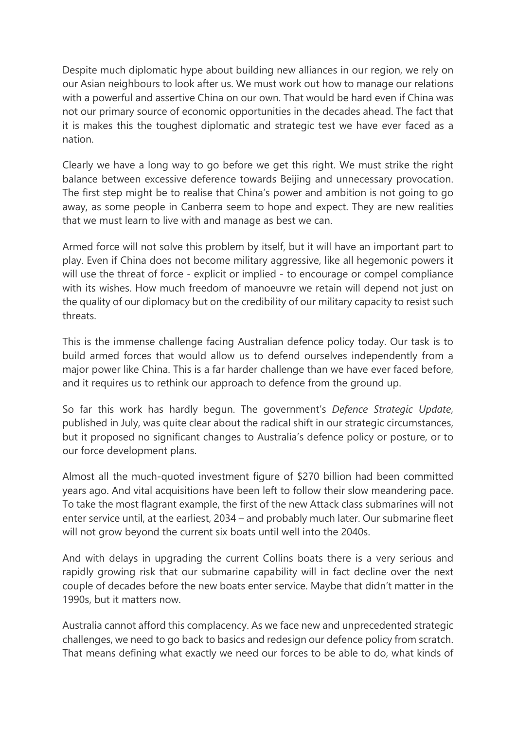Despite much diplomatic hype about building new alliances in our region, we rely on our Asian neighbours to look after us. We must work out how to manage our relations with a powerful and assertive China on our own. That would be hard even if China was not our primary source of economic opportunities in the decades ahead. The fact that it is makes this the toughest diplomatic and strategic test we have ever faced as a nation.

Clearly we have a long way to go before we get this right. We must strike the right balance between excessive deference towards Beijing and unnecessary provocation. The first step might be to realise that China's power and ambition is not going to go away, as some people in Canberra seem to hope and expect. They are new realities that we must learn to live with and manage as best we can.

Armed force will not solve this problem by itself, but it will have an important part to play. Even if China does not become military aggressive, like all hegemonic powers it will use the threat of force - explicit or implied - to encourage or compel compliance with its wishes. How much freedom of manoeuvre we retain will depend not just on the quality of our diplomacy but on the credibility of our military capacity to resist such threats.

This is the immense challenge facing Australian defence policy today. Our task is to build armed forces that would allow us to defend ourselves independently from a major power like China. This is a far harder challenge than we have ever faced before, and it requires us to rethink our approach to defence from the ground up.

So far this work has hardly begun. The government's *Defence Strategic Update*, published in July, was quite clear about the radical shift in our strategic circumstances, but it proposed no significant changes to Australia's defence policy or posture, or to our force development plans.

Almost all the much-quoted investment figure of \$270 billion had been committed years ago. And vital acquisitions have been left to follow their slow meandering pace. To take the most flagrant example, the first of the new Attack class submarines will not enter service until, at the earliest, 2034 – and probably much later. Our submarine fleet will not grow beyond the current six boats until well into the 2040s.

And with delays in upgrading the current Collins boats there is a very serious and rapidly growing risk that our submarine capability will in fact decline over the next couple of decades before the new boats enter service. Maybe that didn't matter in the 1990s, but it matters now.

Australia cannot afford this complacency. As we face new and unprecedented strategic challenges, we need to go back to basics and redesign our defence policy from scratch. That means defining what exactly we need our forces to be able to do, what kinds of